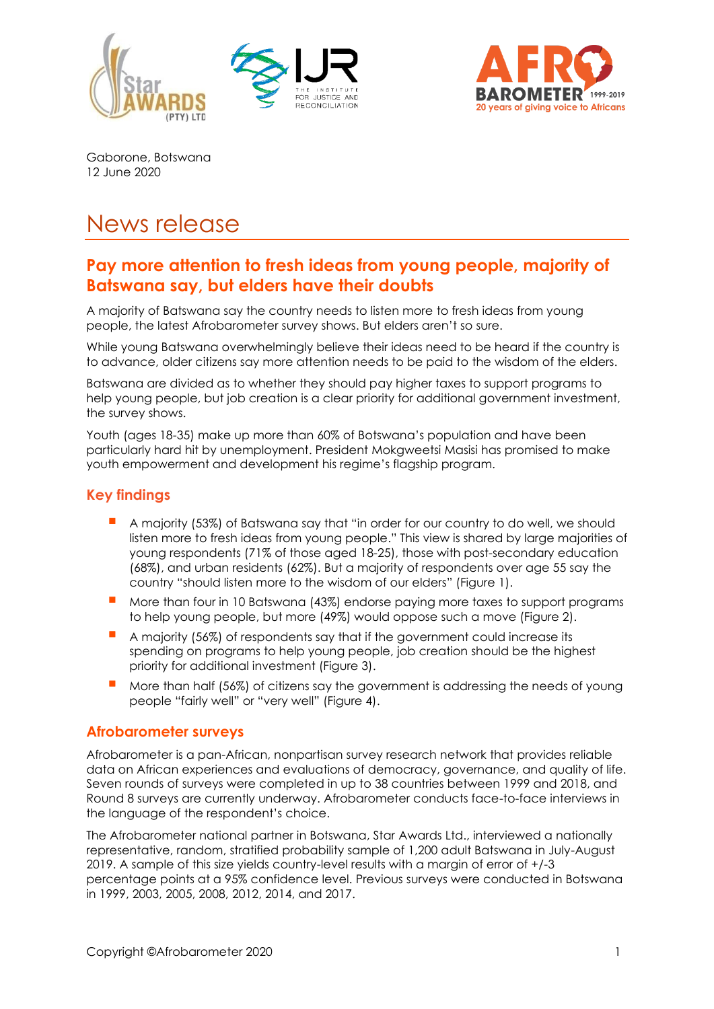





Gaborone, Botswana 12 June 2020

# News release

# **Pay more attention to fresh ideas from young people, majority of Batswana say, but elders have their doubts**

A majority of Batswana say the country needs to listen more to fresh ideas from young people, the latest Afrobarometer survey shows. But elders aren't so sure.

While young Batswana overwhelmingly believe their ideas need to be heard if the country is to advance, older citizens say more attention needs to be paid to the wisdom of the elders.

Batswana are divided as to whether they should pay higher taxes to support programs to help young people, but job creation is a clear priority for additional government investment, the survey shows.

Youth (ages 18-35) make up more than 60% of Botswana's population and have been particularly hard hit by unemployment. President Mokgweetsi Masisi has promised to make youth empowerment and development his regime's flagship program.

# **Key findings**

- A majority (53%) of Batswana say that "in order for our country to do well, we should listen more to fresh ideas from young people." This view is shared by large majorities of young respondents (71% of those aged 18-25), those with post-secondary education (68%), and urban residents (62%). But a majority of respondents over age 55 say the country "should listen more to the wisdom of our elders" (Figure 1).
- More than four in 10 Batswana (43%) endorse paying more taxes to support programs to help young people, but more (49%) would oppose such a move (Figure 2).
- A majority (56%) of respondents say that if the government could increase its spending on programs to help young people, job creation should be the highest priority for additional investment (Figure 3).
- More than half (56%) of citizens say the government is addressing the needs of young people "fairly well" or "very well" (Figure 4).

#### **Afrobarometer surveys**

Afrobarometer is a pan-African, nonpartisan survey research network that provides reliable data on African experiences and evaluations of democracy, governance, and quality of life. Seven rounds of surveys were completed in up to 38 countries between 1999 and 2018, and Round 8 surveys are currently underway. Afrobarometer conducts face-to-face interviews in the language of the respondent's choice.

The Afrobarometer national partner in Botswana, Star Awards Ltd., interviewed a nationally representative, random, stratified probability sample of 1,200 adult Batswana in July-August 2019. A sample of this size yields country-level results with a margin of error of +/-3 percentage points at a 95% confidence level. Previous surveys were conducted in Botswana in 1999, 2003, 2005, 2008, 2012, 2014, and 2017.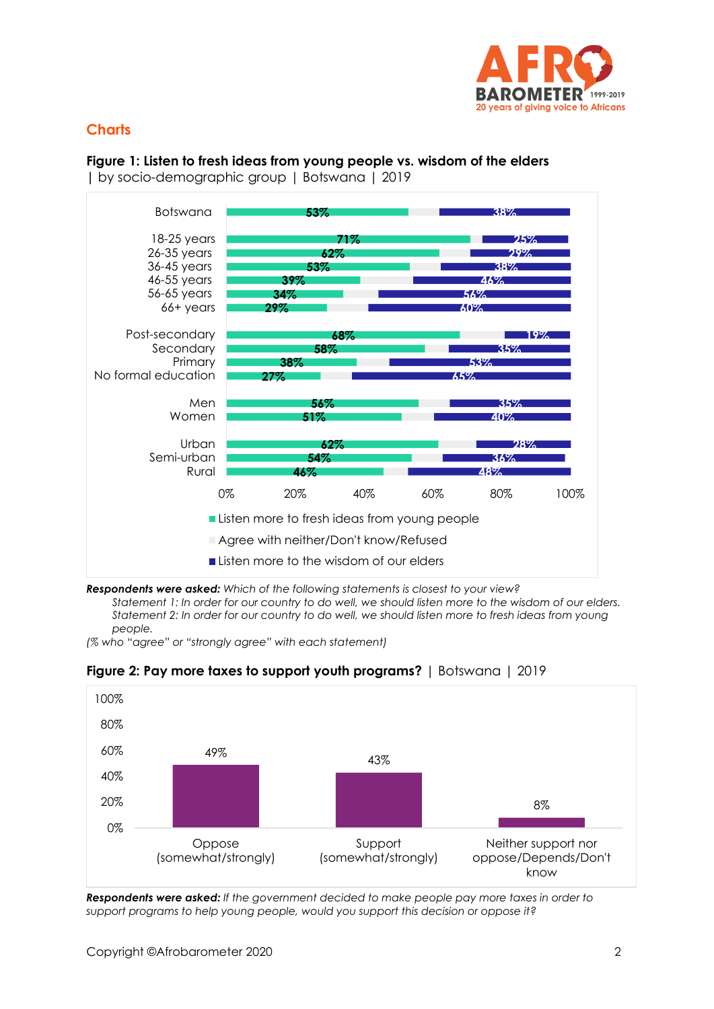

## **Charts**

#### **Figure 1: Listen to fresh ideas from young people vs. wisdom of the elders**

**|** by socio-demographic group | Botswana | 2019



*Respondents were asked: Which of the following statements is closest to your view?*

*Statement 1: In order for our country to do well, we should listen more to the wisdom of our elders. Statement 2: In order for our country to do well, we should listen more to fresh ideas from young people.*

*(% who "agree" or "strongly agree" with each statement)* 



**Figure 2: Pay more taxes to support youth programs?** | Botswana | 2019

*Respondents were asked: If the government decided to make people pay more taxes in order to support programs to help young people, would you support this decision or oppose it?*